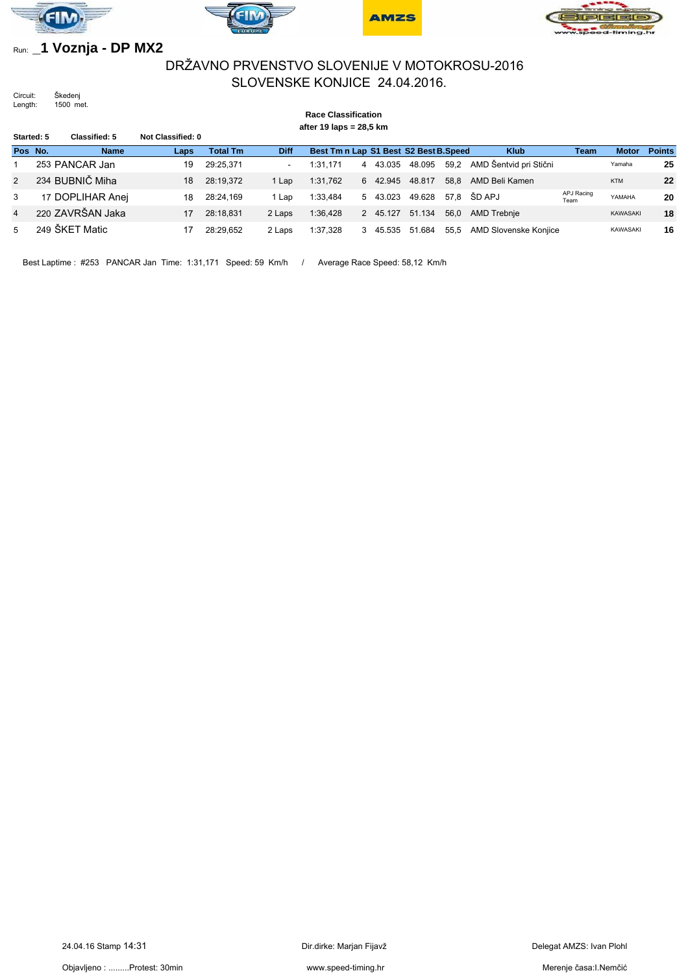







## Run: **\_1 Voznja - DP MX2**

## DRŽAVNO PRVENSTVO SLOVENIJE V MOTOKROSU-2016 SLOVENSKE KONJICE 24.04.2016.

Circuit: Škedenj Length: 1500 met.

#### **Race Classification after 19 laps = 28,5 km Started: 5 Classified: 5 Not Classified: 0 Pos No. Name Laps Total Tm Diff Best Tm n Lap S1 Best S2 Best B.Speed Klub Team Motor Points** 1 253 PANCAR Jan 19 29:25,371 - 1:31,171 4 43.035 48.095 59,2 AMD Šentvid pri Stični Yamaha **25** 2 234 BUBNIČ Miha 18 28:19,372 1 Lap 1:31,762 6 42.945 48.817 58,8 AMD Beli Kamen KTM **22** 3 17 DOPLIHAR Anej 18 28:24,169 1 Lap 1:33,484 5 43.023 49.628 57,8 ŠD APJ APJ Racing YAMAHA **20** 4 220 ZAVRŠAN Jaka 17 28:18,831 2 Laps 1:36,428 2 45.127 51.134 56,0 AMD Trebnje KAWASAKI **18** 5 249 ŠKET Matic 17 28:29,652 2 Laps 1:37,328 3 45.535 51.684 55,5 AMD Slovenske Konjice KAWASAKI **16**

Best Laptime : #253 PANCAR Jan Time: 1:31,171 Speed: 59 Km/h / Average Race Speed: 58,12 Km/h